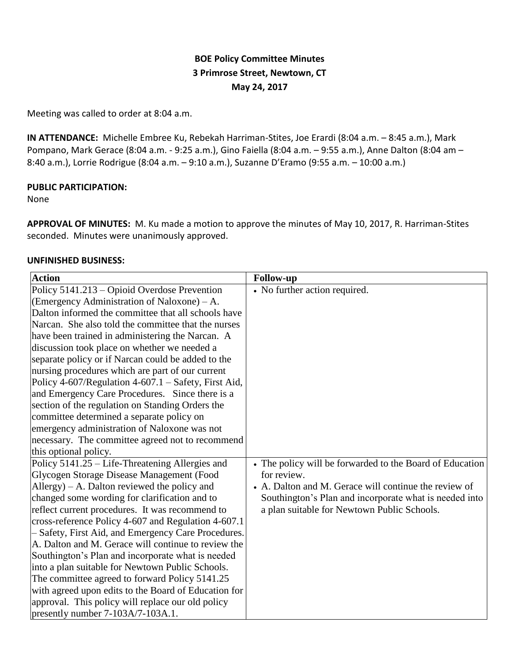# **BOE Policy Committee Minutes 3 Primrose Street, Newtown, CT May 24, 2017**

Meeting was called to order at 8:04 a.m.

**IN ATTENDANCE:** Michelle Embree Ku, Rebekah Harriman-Stites, Joe Erardi (8:04 a.m. – 8:45 a.m.), Mark Pompano, Mark Gerace (8:04 a.m. - 9:25 a.m.), Gino Faiella (8:04 a.m. – 9:55 a.m.), Anne Dalton (8:04 am – 8:40 a.m.), Lorrie Rodrigue (8:04 a.m. – 9:10 a.m.), Suzanne D'Eramo (9:55 a.m. – 10:00 a.m.)

#### **PUBLIC PARTICIPATION:**

#### None

**APPROVAL OF MINUTES:** M. Ku made a motion to approve the minutes of May 10, 2017, R. Harriman-Stites seconded. Minutes were unanimously approved.

### **UNFINISHED BUSINESS:**

| <b>Action</b>                                          | <b>Follow-up</b>                                         |
|--------------------------------------------------------|----------------------------------------------------------|
| Policy 5141.213 - Opioid Overdose Prevention           | • No further action required.                            |
| (Emergency Administration of Naloxone) – A.            |                                                          |
| Dalton informed the committee that all schools have    |                                                          |
| Narcan. She also told the committee that the nurses    |                                                          |
| have been trained in administering the Narcan. A       |                                                          |
| discussion took place on whether we needed a           |                                                          |
| separate policy or if Narcan could be added to the     |                                                          |
| nursing procedures which are part of our current       |                                                          |
| Policy 4-607/Regulation 4-607.1 – Safety, First Aid,   |                                                          |
| and Emergency Care Procedures. Since there is a        |                                                          |
| section of the regulation on Standing Orders the       |                                                          |
| committee determined a separate policy on              |                                                          |
| emergency administration of Naloxone was not           |                                                          |
| necessary. The committee agreed not to recommend       |                                                          |
| this optional policy.                                  |                                                          |
| Policy 5141.25 – Life-Threatening Allergies and        | • The policy will be forwarded to the Board of Education |
| Glycogen Storage Disease Management (Food              | for review.                                              |
| $\text{Allergy}$ ) – A. Dalton reviewed the policy and | • A. Dalton and M. Gerace will continue the review of    |
| changed some wording for clarification and to          | Southington's Plan and incorporate what is needed into   |
| reflect current procedures. It was recommend to        | a plan suitable for Newtown Public Schools.              |
| cross-reference Policy 4-607 and Regulation 4-607.1    |                                                          |
| - Safety, First Aid, and Emergency Care Procedures.    |                                                          |
| A. Dalton and M. Gerace will continue to review the    |                                                          |
| Southington's Plan and incorporate what is needed      |                                                          |
| into a plan suitable for Newtown Public Schools.       |                                                          |
| The committee agreed to forward Policy 5141.25         |                                                          |
| with agreed upon edits to the Board of Education for   |                                                          |
| approval. This policy will replace our old policy      |                                                          |
| presently number 7-103A/7-103A.1.                      |                                                          |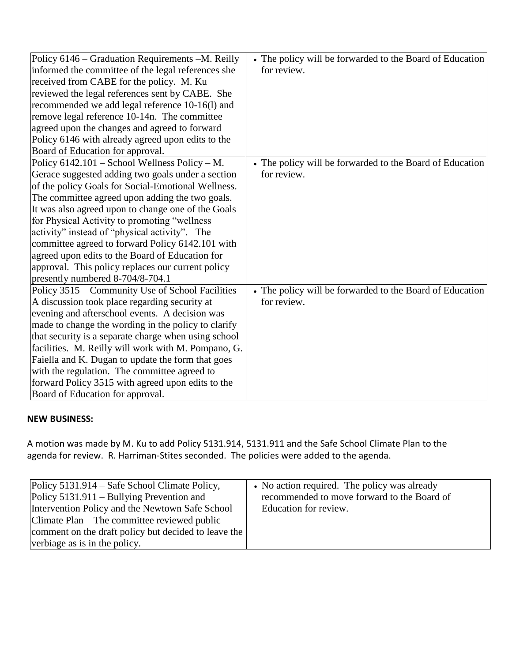| Policy 6146 – Graduation Requirements –M. Reilly     | • The policy will be forwarded to the Board of Education |
|------------------------------------------------------|----------------------------------------------------------|
| informed the committee of the legal references she   | for review.                                              |
| received from CABE for the policy. M. Ku             |                                                          |
| reviewed the legal references sent by CABE. She      |                                                          |
| recommended we add legal reference 10-16(l) and      |                                                          |
| remove legal reference 10-14n. The committee         |                                                          |
| agreed upon the changes and agreed to forward        |                                                          |
| Policy 6146 with already agreed upon edits to the    |                                                          |
| Board of Education for approval.                     |                                                          |
| Policy 6142.101 - School Wellness Policy - M.        | • The policy will be forwarded to the Board of Education |
| Gerace suggested adding two goals under a section    | for review.                                              |
| of the policy Goals for Social-Emotional Wellness.   |                                                          |
| The committee agreed upon adding the two goals.      |                                                          |
| It was also agreed upon to change one of the Goals   |                                                          |
| for Physical Activity to promoting "wellness         |                                                          |
| activity" instead of "physical activity". The        |                                                          |
| committee agreed to forward Policy 6142.101 with     |                                                          |
| agreed upon edits to the Board of Education for      |                                                          |
| approval. This policy replaces our current policy    |                                                          |
| presently numbered 8-704/8-704.1                     |                                                          |
| Policy 3515 – Community Use of School Facilities –   | • The policy will be forwarded to the Board of Education |
| A discussion took place regarding security at        | for review.                                              |
| evening and afterschool events. A decision was       |                                                          |
| made to change the wording in the policy to clarify  |                                                          |
| that security is a separate charge when using school |                                                          |
| facilities. M. Reilly will work with M. Pompano, G.  |                                                          |
| Faiella and K. Dugan to update the form that goes    |                                                          |
| with the regulation. The committee agreed to         |                                                          |
| forward Policy 3515 with agreed upon edits to the    |                                                          |
| Board of Education for approval.                     |                                                          |

### **NEW BUSINESS:**

A motion was made by M. Ku to add Policy 5131.914, 5131.911 and the Safe School Climate Plan to the agenda for review. R. Harriman-Stites seconded. The policies were added to the agenda.

| Policy 5131.914 – Safe School Climate Policy,<br>$Policy 5131.911 - Bullying Prevention and$<br>Intervention Policy and the Newtown Safe School<br>Climate Plan – The committee reviewed public<br>comment on the draft policy but decided to leave the<br>verbiage as is in the policy. | • No action required. The policy was already<br>recommended to move forward to the Board of<br>Education for review. |
|------------------------------------------------------------------------------------------------------------------------------------------------------------------------------------------------------------------------------------------------------------------------------------------|----------------------------------------------------------------------------------------------------------------------|
|------------------------------------------------------------------------------------------------------------------------------------------------------------------------------------------------------------------------------------------------------------------------------------------|----------------------------------------------------------------------------------------------------------------------|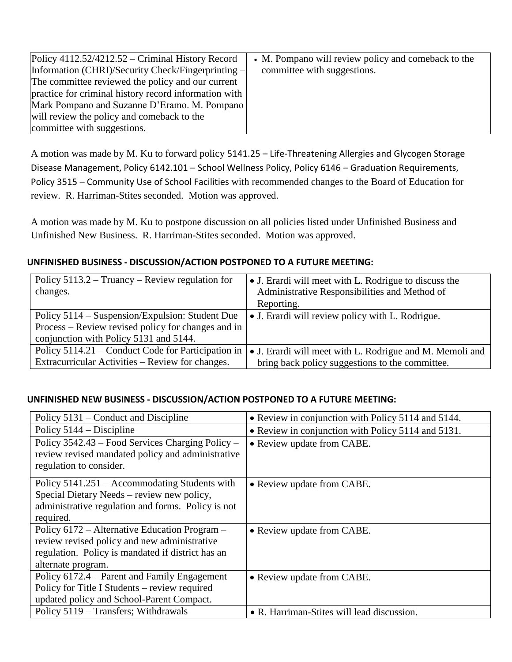| Policy 4112.52/4212.52 – Criminal History Record      | • M. Pompano will review policy and comeback to the |
|-------------------------------------------------------|-----------------------------------------------------|
| Information (CHRI)/Security Check/Fingerprinting -    | committee with suggestions.                         |
| The committee reviewed the policy and our current     |                                                     |
| practice for criminal history record information with |                                                     |
| Mark Pompano and Suzanne D'Eramo. M. Pompano          |                                                     |
| will review the policy and comeback to the            |                                                     |
| committee with suggestions.                           |                                                     |

A motion was made by M. Ku to forward policy 5141.25 – Life-Threatening Allergies and Glycogen Storage Disease Management, Policy 6142.101 – School Wellness Policy, Policy 6146 – Graduation Requirements, Policy 3515 – Community Use of School Facilities with recommended changes to the Board of Education for review. R. Harriman-Stites seconded. Motion was approved.

A motion was made by M. Ku to postpone discussion on all policies listed under Unfinished Business and Unfinished New Business. R. Harriman-Stites seconded. Motion was approved.

## **UNFINISHED BUSINESS - DISCUSSION/ACTION POSTPONED TO A FUTURE MEETING:**

| Policy $5113.2 - Truancy - Review regulation for$  | • J. Erardi will meet with L. Rodrigue to discuss the            |
|----------------------------------------------------|------------------------------------------------------------------|
| changes.                                           | Administrative Responsibilities and Method of                    |
|                                                    | Reporting.                                                       |
| Policy 5114 – Suspension/Expulsion: Student Due    | • J. Erardi will review policy with L. Rodrigue.                 |
| Process – Review revised policy for changes and in |                                                                  |
| conjunction with Policy 5131 and 5144.             |                                                                  |
| Policy 5114.21 – Conduct Code for Participation in | $\bullet$ J. Erardi will meet with L. Rodrigue and M. Memoli and |
| Extracurricular Activities – Review for changes.   | bring back policy suggestions to the committee.                  |

### **UNFINISHED NEW BUSINESS - DISCUSSION/ACTION POSTPONED TO A FUTURE MEETING:**

| Policy 5131 – Conduct and Discipline                                                                                                                                     | • Review in conjunction with Policy 5114 and 5144. |
|--------------------------------------------------------------------------------------------------------------------------------------------------------------------------|----------------------------------------------------|
| Policy $5144 - Discipline$                                                                                                                                               | • Review in conjunction with Policy 5114 and 5131. |
| Policy 3542.43 – Food Services Charging Policy –<br>review revised mandated policy and administrative<br>regulation to consider.                                         | • Review update from CABE.                         |
| Policy 5141.251 – Accommodating Students with<br>Special Dietary Needs – review new policy,<br>administrative regulation and forms. Policy is not<br>required.           | • Review update from CABE.                         |
| Policy 6172 – Alternative Education Program –<br>review revised policy and new administrative<br>regulation. Policy is mandated if district has an<br>alternate program. | • Review update from CABE.                         |
| Policy 6172.4 – Parent and Family Engagement<br>Policy for Title I Students – review required<br>updated policy and School-Parent Compact.                               | • Review update from CABE.                         |
| Policy 5119 – Transfers; Withdrawals                                                                                                                                     | • R. Harriman-Stites will lead discussion.         |